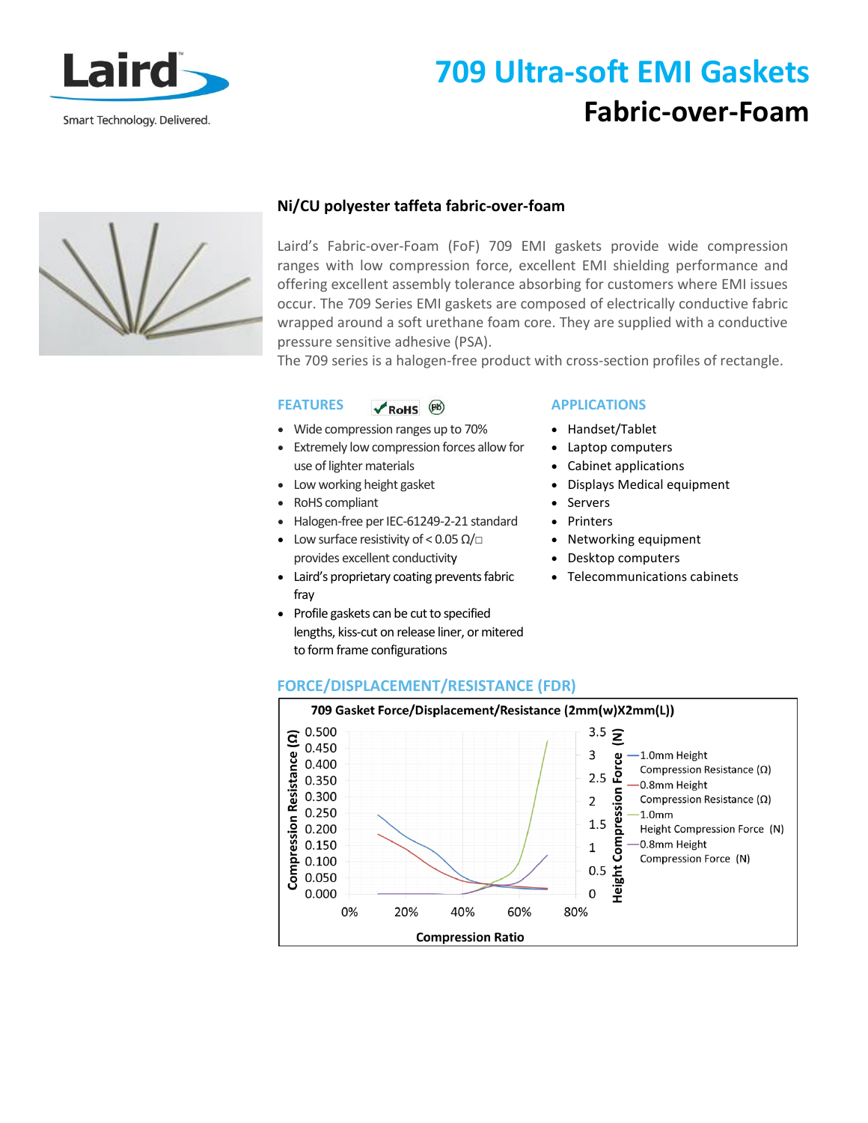

## **709 Ultra-soft EMI Gaskets Fabric-over-Foam**



## **Ni/CU polyester taffeta fabric-over-foam**

Laird's Fabric-over-Foam (FoF) 709 EMI gaskets provide wide compression ranges with low compression force, excellent EMI shielding performance and offering excellent assembly tolerance absorbing for customers where EMI issues occur. The 709 Series EMI gaskets are composed of electrically conductive fabric wrapped around a soft urethane foam core. They are supplied with a conductive pressure sensitive adhesive (PSA).

The 709 series is a halogen-free product with cross-section profiles of rectangle.

#### **FEATURES**   $\sqrt{R}$  RoHS  $(B)$

- Wide compression ranges up to 70%
- Extremely low compression forces allow for use of lighter materials
- Low working height gasket
- RoHS compliant
- Halogen-free per IEC-61249-2-21 standard
- Low surface resistivity of < 0.05  $\Omega/\Box$ provides excellent conductivity
- Laird's proprietary coating prevents fabric fray
- Profile gaskets can be cut to specified lengths, kiss-cut on release liner, or mitered to form frame configurations

## **APPLICATIONS**

- Handset/Tablet
- Laptop computers
- Cabinet applications
- Displays Medical equipment
- Servers
- Printers
- Networking equipment
- Desktop computers
- Telecommunications cabinets

## **FORCE/DISPLACEMENT/RESISTANCE (FDR)**